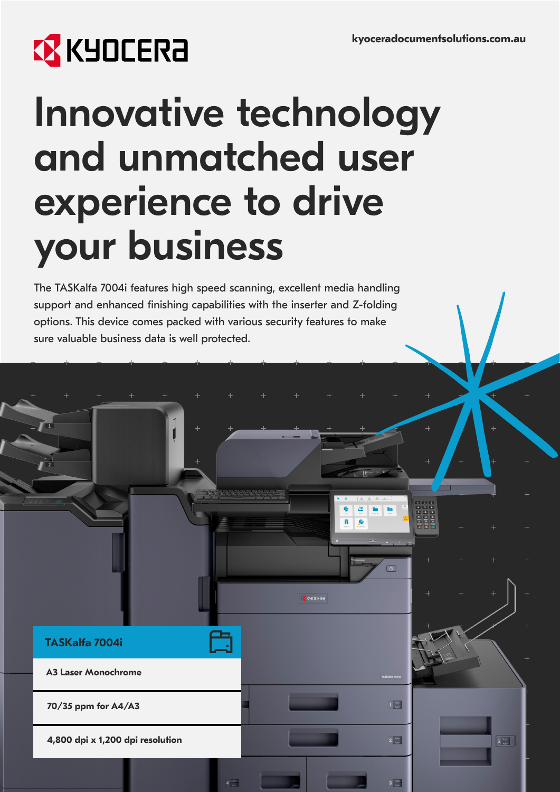# **B** KYOCERA

**TASKalfa 7004i**

**A3 Laser Monochrome**

**70/35 ppm for A4/A3**

**4,800 dpi x 1,200 dpi resolution**

## Innovative technology and unmatched user experience to drive your business

The TASKalfa 7004i features high speed scanning, excellent media handling support and enhanced finishing capabilities with the inserter and Z-folding options. This device comes packed with various security features to make sure valuable business data is well protected.

**EXECUTERE** 

 $\frac{p_{\text{bin}}}{\text{A4D}}$ 

 $2^{\frac{p_{\text{bin}}}{2}}$ 

 $3<sup>Thick</sup>$ 

 $5 \frac{m\alpha}{442}$